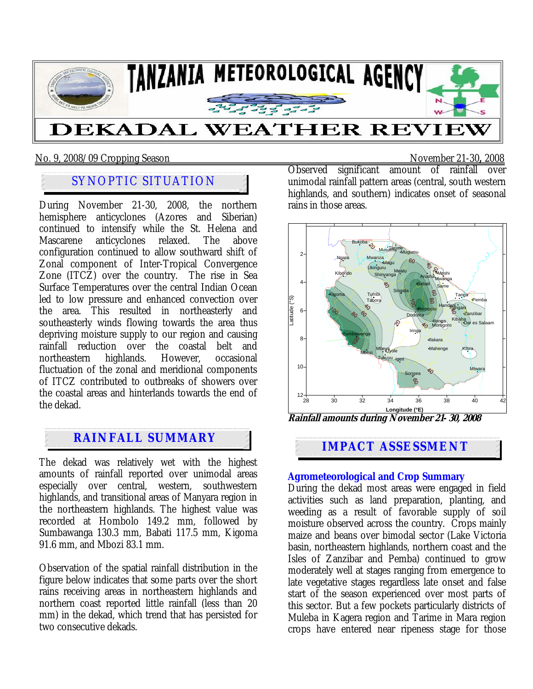

#### No. 9, 2008/09 Cropping Season November 21-30**,** 2008

# SYNOPTIC SITUATION

During November 21-30, 2008, the northern hemisphere anticyclones (Azores and Siberian) continued to intensify while the St. Helena and Mascarene anticyclones relaxed. The above configuration continued to allow southward shift of Zonal component of Inter-Tropical Convergence Zone (ITCZ) over the country. The rise in Sea Surface Temperatures over the central Indian Ocean led to low pressure and enhanced convection over the area. This resulted in northeasterly and southeasterly winds flowing towards the area thus depriving moisture supply to our region and causing rainfall reduction over the coastal belt and northeastern highlands. However, occasional fluctuation of the zonal and meridional components of ITCZ contributed to outbreaks of showers over the coastal areas and hinterlands towards the end of the dekad.

# **IMPACT ASSESSMENT**

The dekad was relatively wet with the highest amounts of rainfall reported over unimodal areas especially over central, western, southwestern highlands, and transitional areas of Manyara region in the northeastern highlands. The highest value was recorded at Hombolo 149.2 mm, followed by Sumbawanga 130.3 mm, Babati 117.5 mm, Kigoma 91.6 mm, and Mbozi 83.1 mm.

Observation of the spatial rainfall distribution in the figure below indicates that some parts over the short rains receiving areas in northeastern highlands and northern coast reported little rainfall (less than 20 mm) in the dekad, which trend that has persisted for two consecutive dekads.

Observed significant amount of rainfall over unimodal rainfall pattern areas (central, south western highlands, and southern) indicates onset of seasonal rains in those areas.



**Rainfall amounts during November 21- 30, 2008** 

**Agrometeorological and Crop Summary** During the dekad most areas were engaged in field activities such as land preparation, planting, and weeding as a result of favorable supply of soil moisture observed across the country. Crops mainly maize and beans over bimodal sector (Lake Victoria basin, northeastern highlands, northern coast and the Isles of Zanzibar and Pemba) continued to grow moderately well at stages ranging from emergence to late vegetative stages regardless late onset and false start of the season experienced over most parts of this sector. But a few pockets particularly districts of Muleba in Kagera region and Tarime in Mara region crops have entered near ripeness stage for those